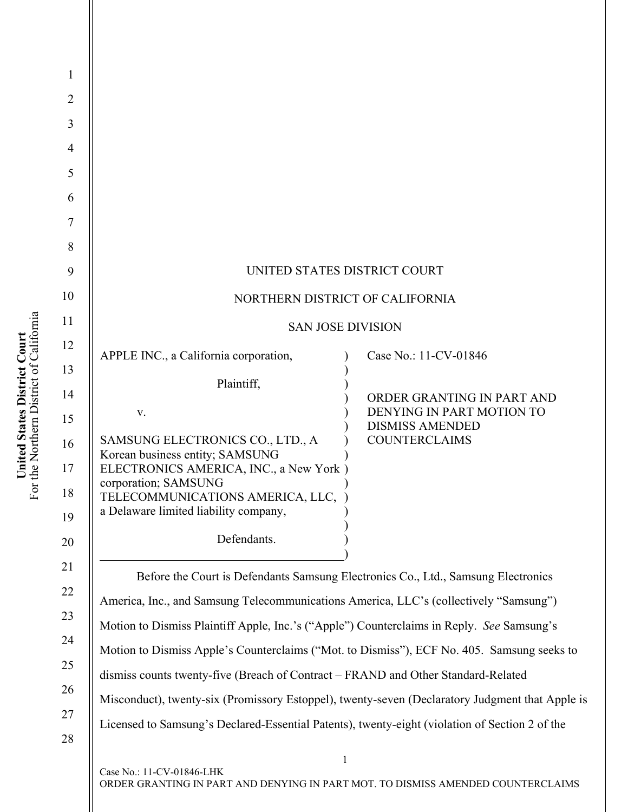| UNITED STATES DISTRICT COURT<br>NORTHERN DISTRICT OF CALIFORNIA<br><b>SAN JOSE DIVISION</b>                                                                                                                                                           |                                                                                                           |
|-------------------------------------------------------------------------------------------------------------------------------------------------------------------------------------------------------------------------------------------------------|-----------------------------------------------------------------------------------------------------------|
| APPLE INC., a California corporation,                                                                                                                                                                                                                 | Case No.: 11-CV-01846                                                                                     |
| Plaintiff,<br>V.<br>SAMSUNG ELECTRONICS CO., LTD., A<br>Korean business entity; SAMSUNG<br>ELECTRONICS AMERICA, INC., a New York)<br>corporation; SAMSUNG<br>TELECOMMUNICATIONS AMERICA, LLC,<br>a Delaware limited liability company,<br>Defendants. | ORDER GRANTING IN PART AND<br>DENYING IN PART MOTION TO<br><b>DISMISS AMENDED</b><br><b>COUNTERCLAIMS</b> |
| Before the Court is Defendants Samsung Electronics Co., Ltd., Samsung Electronics<br>America, Inc., and Samsung Telecommunications America, LLC's (collectively "Samsung")                                                                            |                                                                                                           |

America, Inc., and Samsung Telecommunications America, LLC's (collectively "Samsung") Motion to Dismiss Plaintiff Apple, Inc.'s ("Apple") Counterclaims in Reply. *See* Samsung's Motion to Dismiss Apple's Counterclaims ("Mot. to Dismiss"), ECF No. 405. Samsung seeks to dismiss counts twenty-five (Breach of Contract – FRAND and Other Standard-Related Misconduct), twenty-six (Promissory Estoppel), twenty-seven (Declaratory Judgment that Apple is Licensed to Samsung's Declared-Essential Patents), twenty-eight (violation of Section 2 of the

1

2

3

4

5

6

7

8

9

10

11

12

13

14

15

16

17

18

19

20

21

22

23

24

25

26

27

28

Case No.: 11-CV-01846-LHK ORDER GRANTING IN PART AND DENYING IN PART MOT. TO DISMISS AMENDED COUNTERCLAIMS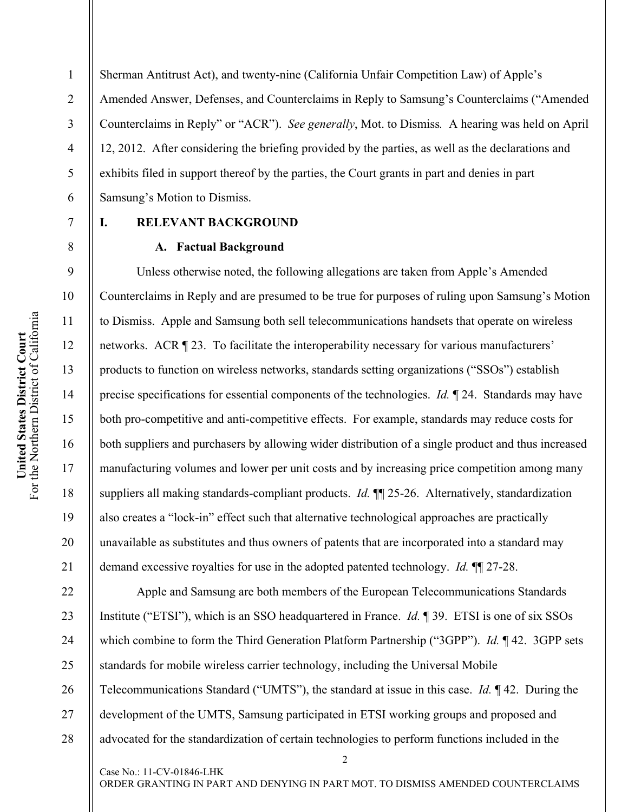Sherman Antitrust Act), and twenty-nine (California Unfair Competition Law) of Apple's Amended Answer, Defenses, and Counterclaims in Reply to Samsung's Counterclaims ("Amended Counterclaims in Reply" or "ACR"). *See generally*, Mot. to Dismiss*.* A hearing was held on April 12, 2012. After considering the briefing provided by the parties, as well as the declarations and exhibits filed in support thereof by the parties, the Court grants in part and denies in part Samsung's Motion to Dismiss.

#### 7

1

2

3

4

5

6

8

9

10

11

12

13

14

15

16

17

18

19

20

21

# **I. RELEVANT BACKGROUND**

Case No.: 11-CV-01846-LHK

#### **A. Factual Background**

Unless otherwise noted, the following allegations are taken from Apple's Amended Counterclaims in Reply and are presumed to be true for purposes of ruling upon Samsung's Motion to Dismiss. Apple and Samsung both sell telecommunications handsets that operate on wireless networks. ACR ¶ 23. To facilitate the interoperability necessary for various manufacturers' products to function on wireless networks, standards setting organizations ("SSOs") establish precise specifications for essential components of the technologies. *Id.* ¶ 24. Standards may have both pro-competitive and anti-competitive effects. For example, standards may reduce costs for both suppliers and purchasers by allowing wider distribution of a single product and thus increased manufacturing volumes and lower per unit costs and by increasing price competition among many suppliers all making standards-compliant products. *Id.* ¶¶ 25-26. Alternatively, standardization also creates a "lock-in" effect such that alternative technological approaches are practically unavailable as substitutes and thus owners of patents that are incorporated into a standard may demand excessive royalties for use in the adopted patented technology. *Id.* ¶¶ 27-28.

2 22 23 24 25 26 27 28 Apple and Samsung are both members of the European Telecommunications Standards Institute ("ETSI"), which is an SSO headquartered in France. *Id.* ¶ 39. ETSI is one of six SSOs which combine to form the Third Generation Platform Partnership ("3GPP"). *Id.* ¶ 42. 3GPP sets standards for mobile wireless carrier technology, including the Universal Mobile Telecommunications Standard ("UMTS"), the standard at issue in this case. *Id.* ¶ 42. During the development of the UMTS, Samsung participated in ETSI working groups and proposed and advocated for the standardization of certain technologies to perform functions included in the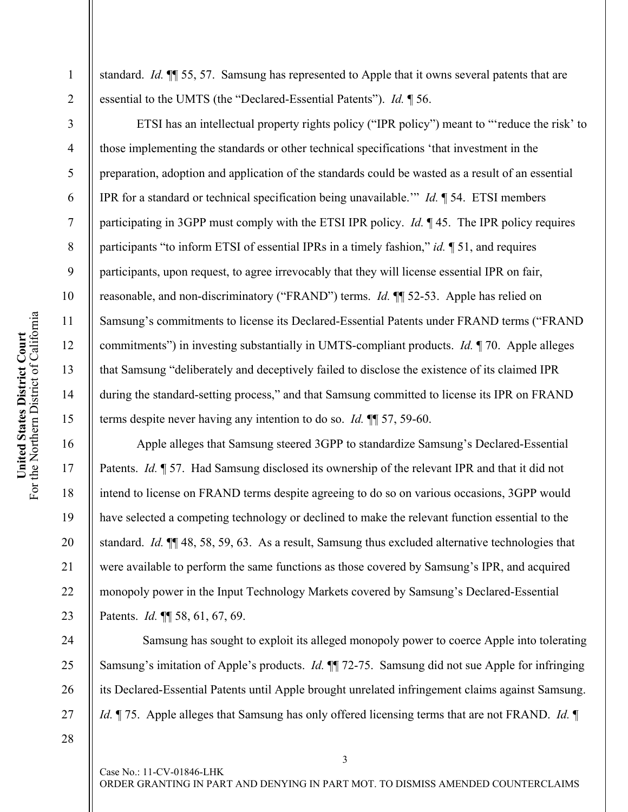United States District Court<br>For the Northern District of California For the Northern District of California **United States District Court** 

1

2

3

4

5

6

7

8

9

10

11

12

13

14

15

16

17

18

19

20

21

22

23

24

25

26

standard. *Id.* ¶¶ 55, 57. Samsung has represented to Apple that it owns several patents that are essential to the UMTS (the "Declared-Essential Patents"). *Id.* ¶ 56.

ETSI has an intellectual property rights policy ("IPR policy") meant to "'reduce the risk' to those implementing the standards or other technical specifications 'that investment in the preparation, adoption and application of the standards could be wasted as a result of an essential IPR for a standard or technical specification being unavailable.'" *Id.* ¶ 54. ETSI members participating in 3GPP must comply with the ETSI IPR policy. *Id.* ¶ 45. The IPR policy requires participants "to inform ETSI of essential IPRs in a timely fashion," *id.* ¶ 51, and requires participants, upon request, to agree irrevocably that they will license essential IPR on fair, reasonable, and non-discriminatory ("FRAND") terms. *Id.* ¶¶ 52-53. Apple has relied on Samsung's commitments to license its Declared-Essential Patents under FRAND terms ("FRAND commitments") in investing substantially in UMTS-compliant products. *Id.* ¶ 70. Apple alleges that Samsung "deliberately and deceptively failed to disclose the existence of its claimed IPR during the standard-setting process," and that Samsung committed to license its IPR on FRAND terms despite never having any intention to do so. *Id.* ¶¶ 57, 59-60.

Apple alleges that Samsung steered 3GPP to standardize Samsung's Declared-Essential Patents. *Id.* ¶ 57. Had Samsung disclosed its ownership of the relevant IPR and that it did not intend to license on FRAND terms despite agreeing to do so on various occasions, 3GPP would have selected a competing technology or declined to make the relevant function essential to the standard. *Id.* ¶¶ 48, 58, 59, 63. As a result, Samsung thus excluded alternative technologies that were available to perform the same functions as those covered by Samsung's IPR, and acquired monopoly power in the Input Technology Markets covered by Samsung's Declared-Essential Patents. *Id.* ¶¶ 58, 61, 67, 69.

 Samsung has sought to exploit its alleged monopoly power to coerce Apple into tolerating Samsung's imitation of Apple's products. *Id.* ¶¶ 72-75. Samsung did not sue Apple for infringing its Declared-Essential Patents until Apple brought unrelated infringement claims against Samsung. *Id.* ¶ 75. Apple alleges that Samsung has only offered licensing terms that are not FRAND. *Id.* ¶

27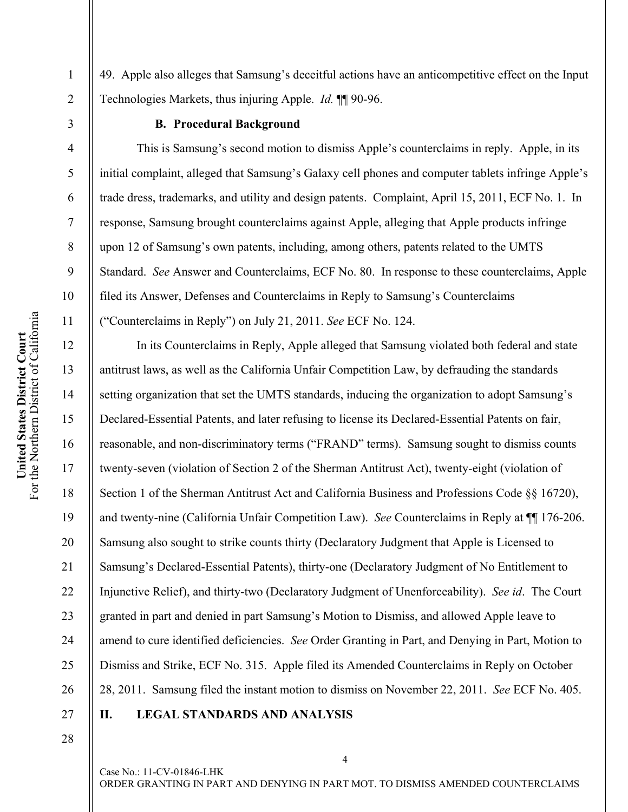49. Apple also alleges that Samsung's deceitful actions have an anticompetitive effect on the Input Technologies Markets, thus injuring Apple. *Id.* ¶¶ 90-96.

3

1

2

4

5

6

7

8

9

10

11

12

13

14

**United States District Court**  For the Northern District of California

United States District Court<br>For the Northern District of California

15

16

17

18

19

20

21

22

23

24

25

26

27

## **B. Procedural Background**

This is Samsung's second motion to dismiss Apple's counterclaims in reply. Apple, in its initial complaint, alleged that Samsung's Galaxy cell phones and computer tablets infringe Apple's trade dress, trademarks, and utility and design patents. Complaint, April 15, 2011, ECF No. 1. In response, Samsung brought counterclaims against Apple, alleging that Apple products infringe upon 12 of Samsung's own patents, including, among others, patents related to the UMTS Standard. *See* Answer and Counterclaims, ECF No. 80. In response to these counterclaims, Apple filed its Answer, Defenses and Counterclaims in Reply to Samsung's Counterclaims ("Counterclaims in Reply") on July 21, 2011. *See* ECF No. 124.

In its Counterclaims in Reply, Apple alleged that Samsung violated both federal and state antitrust laws, as well as the California Unfair Competition Law, by defrauding the standards setting organization that set the UMTS standards, inducing the organization to adopt Samsung's Declared-Essential Patents, and later refusing to license its Declared-Essential Patents on fair, reasonable, and non-discriminatory terms ("FRAND" terms). Samsung sought to dismiss counts twenty-seven (violation of Section 2 of the Sherman Antitrust Act), twenty-eight (violation of Section 1 of the Sherman Antitrust Act and California Business and Professions Code §§ 16720), and twenty-nine (California Unfair Competition Law). *See* Counterclaims in Reply at ¶¶ 176-206. Samsung also sought to strike counts thirty (Declaratory Judgment that Apple is Licensed to Samsung's Declared-Essential Patents), thirty-one (Declaratory Judgment of No Entitlement to Injunctive Relief), and thirty-two (Declaratory Judgment of Unenforceability). *See id*. The Court granted in part and denied in part Samsung's Motion to Dismiss, and allowed Apple leave to amend to cure identified deficiencies. *See* Order Granting in Part, and Denying in Part, Motion to Dismiss and Strike, ECF No. 315. Apple filed its Amended Counterclaims in Reply on October 28, 2011. Samsung filed the instant motion to dismiss on November 22, 2011. *See* ECF No. 405.

28

# **II. LEGAL STANDARDS AND ANALYSIS**

Case No.: 11-CV-01846-LHK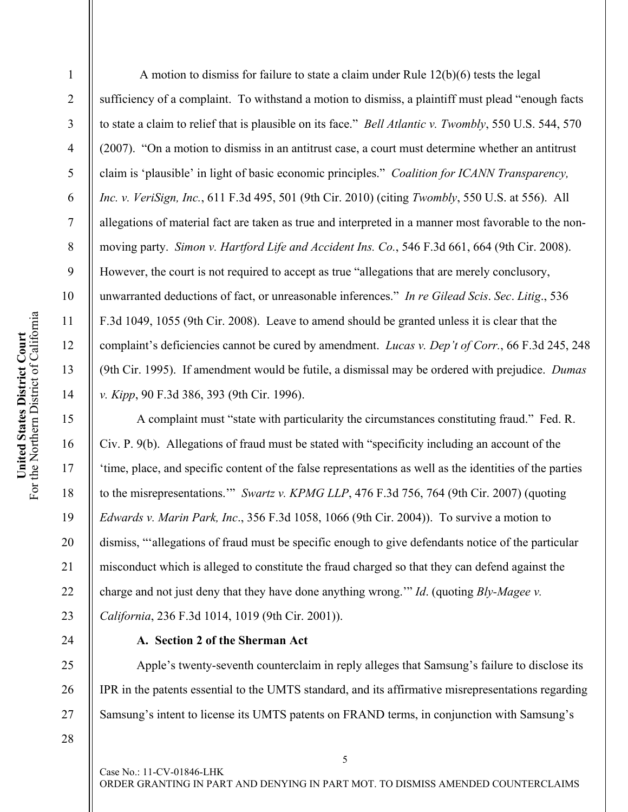4 5 6 7 8 9 10 For the Northern District of California United States District Court<br>For the Northern District of California 11 **United States District Court**  12 13 14 15 16 17

1

2

3

 A motion to dismiss for failure to state a claim under Rule 12(b)(6) tests the legal sufficiency of a complaint. To withstand a motion to dismiss, a plaintiff must plead "enough facts to state a claim to relief that is plausible on its face." *Bell Atlantic v. Twombly*, 550 U.S. 544, 570 (2007). "On a motion to dismiss in an antitrust case, a court must determine whether an antitrust claim is 'plausible' in light of basic economic principles." *Coalition for ICANN Transparency, Inc. v. VeriSign, Inc.*, 611 F.3d 495, 501 (9th Cir. 2010) (citing *Twombly*, 550 U.S. at 556). All allegations of material fact are taken as true and interpreted in a manner most favorable to the nonmoving party. *Simon v. Hartford Life and Accident Ins. Co.*, 546 F.3d 661, 664 (9th Cir. 2008). However, the court is not required to accept as true "allegations that are merely conclusory, unwarranted deductions of fact, or unreasonable inferences." *In re Gilead Scis*. *Sec*. *Litig*., 536 F.3d 1049, 1055 (9th Cir. 2008). Leave to amend should be granted unless it is clear that the complaint's deficiencies cannot be cured by amendment. *Lucas v. Dep't of Corr.*, 66 F.3d 245, 248 (9th Cir. 1995). If amendment would be futile, a dismissal may be ordered with prejudice. *Dumas v. Kipp*, 90 F.3d 386, 393 (9th Cir. 1996).

A complaint must "state with particularity the circumstances constituting fraud." Fed. R. Civ. P. 9(b). Allegations of fraud must be stated with "specificity including an account of the 'time, place, and specific content of the false representations as well as the identities of the parties to the misrepresentations.'" *Swartz v. KPMG LLP*, 476 F.3d 756, 764 (9th Cir. 2007) (quoting *Edwards v. Marin Park, Inc*., 356 F.3d 1058, 1066 (9th Cir. 2004)). To survive a motion to dismiss, "'allegations of fraud must be specific enough to give defendants notice of the particular misconduct which is alleged to constitute the fraud charged so that they can defend against the charge and not just deny that they have done anything wrong.'" *Id*. (quoting *Bly-Magee v. California*, 236 F.3d 1014, 1019 (9th Cir. 2001)).

# **A. Section 2 of the Sherman Act**

Apple's twenty-seventh counterclaim in reply alleges that Samsung's failure to disclose its IPR in the patents essential to the UMTS standard, and its affirmative misrepresentations regarding Samsung's intent to license its UMTS patents on FRAND terms, in conjunction with Samsung's

28

18

19

20

21

22

23

24

25

26

27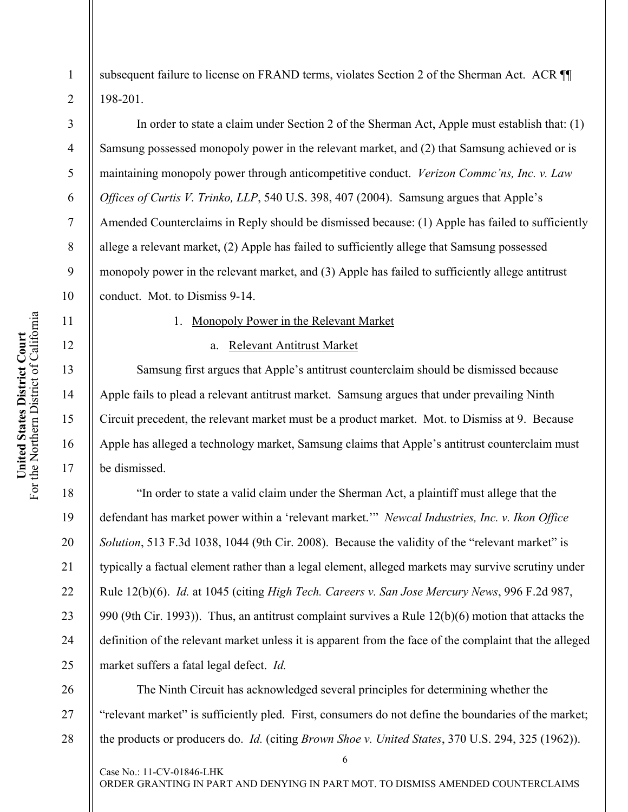2

3

4

5

6

7

8

9

10

11

12

13

14

15

16

17

18

19

20

21

22

23

24

25

26

27

28

subsequent failure to license on FRAND terms, violates Section 2 of the Sherman Act. ACR II 198-201.

In order to state a claim under Section 2 of the Sherman Act, Apple must establish that: (1) Samsung possessed monopoly power in the relevant market, and (2) that Samsung achieved or is maintaining monopoly power through anticompetitive conduct. *Verizon Commc'ns, Inc. v. Law Offices of Curtis V. Trinko, LLP*, 540 U.S. 398, 407 (2004). Samsung argues that Apple's Amended Counterclaims in Reply should be dismissed because: (1) Apple has failed to sufficiently allege a relevant market, (2) Apple has failed to sufficiently allege that Samsung possessed monopoly power in the relevant market, and (3) Apple has failed to sufficiently allege antitrust conduct. Mot. to Dismiss 9-14.

## 1. Monopoly Power in the Relevant Market

## a. Relevant Antitrust Market

Samsung first argues that Apple's antitrust counterclaim should be dismissed because Apple fails to plead a relevant antitrust market. Samsung argues that under prevailing Ninth Circuit precedent, the relevant market must be a product market. Mot. to Dismiss at 9. Because Apple has alleged a technology market, Samsung claims that Apple's antitrust counterclaim must be dismissed.

"In order to state a valid claim under the Sherman Act, a plaintiff must allege that the defendant has market power within a 'relevant market.'" *Newcal Industries, Inc. v. Ikon Office Solution*, 513 F.3d 1038, 1044 (9th Cir. 2008). Because the validity of the "relevant market" is typically a factual element rather than a legal element, alleged markets may survive scrutiny under Rule 12(b)(6). *Id.* at 1045 (citing *High Tech. Careers v. San Jose Mercury News*, 996 F.2d 987, 990 (9th Cir. 1993)). Thus, an antitrust complaint survives a Rule 12(b)(6) motion that attacks the definition of the relevant market unless it is apparent from the face of the complaint that the alleged market suffers a fatal legal defect. *Id.*

The Ninth Circuit has acknowledged several principles for determining whether the "relevant market" is sufficiently pled. First, consumers do not define the boundaries of the market; the products or producers do. *Id.* (citing *Brown Shoe v. United States*, 370 U.S. 294, 325 (1962)).

Case No.: 11-CV-01846-LHK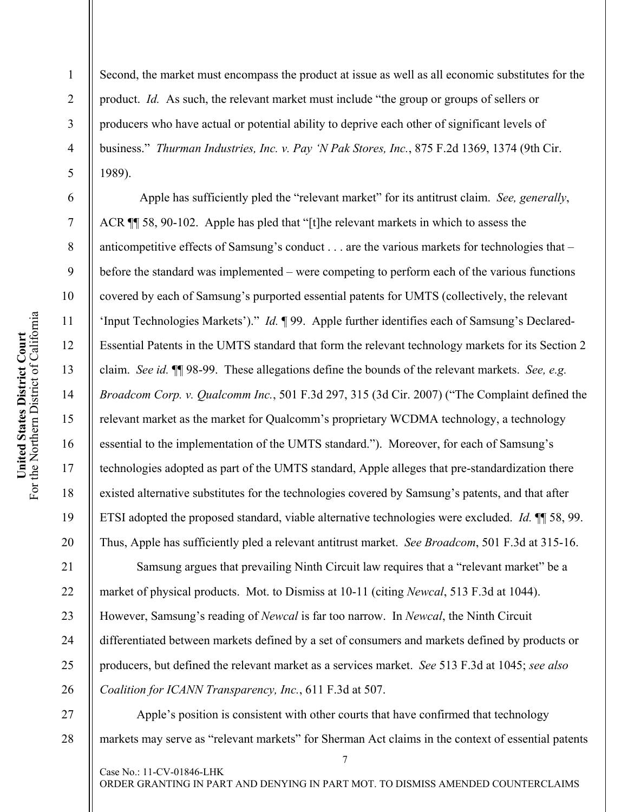2

3

4

5

6

7

8

9

10

11

12

13

14

15

16

17

18

19

20

21

22

23

24

25

26

Second, the market must encompass the product at issue as well as all economic substitutes for the product. *Id.* As such, the relevant market must include "the group or groups of sellers or producers who have actual or potential ability to deprive each other of significant levels of business." *Thurman Industries, Inc. v. Pay 'N Pak Stores, Inc.*, 875 F.2d 1369, 1374 (9th Cir. 1989).

 Apple has sufficiently pled the "relevant market" for its antitrust claim. *See, generally*, ACR ¶¶ 58, 90-102. Apple has pled that "[t]he relevant markets in which to assess the anticompetitive effects of Samsung's conduct . . . are the various markets for technologies that – before the standard was implemented – were competing to perform each of the various functions covered by each of Samsung's purported essential patents for UMTS (collectively, the relevant 'Input Technologies Markets')." *Id.* ¶ 99. Apple further identifies each of Samsung's Declared-Essential Patents in the UMTS standard that form the relevant technology markets for its Section 2 claim. *See id.* ¶¶ 98-99. These allegations define the bounds of the relevant markets. *See, e.g. Broadcom Corp. v. Qualcomm Inc.*, 501 F.3d 297, 315 (3d Cir. 2007) ("The Complaint defined the relevant market as the market for Qualcomm's proprietary WCDMA technology, a technology essential to the implementation of the UMTS standard."). Moreover, for each of Samsung's technologies adopted as part of the UMTS standard, Apple alleges that pre-standardization there existed alternative substitutes for the technologies covered by Samsung's patents, and that after ETSI adopted the proposed standard, viable alternative technologies were excluded. *Id.* ¶¶ 58, 99. Thus, Apple has sufficiently pled a relevant antitrust market. *See Broadcom*, 501 F.3d at 315-16.

Samsung argues that prevailing Ninth Circuit law requires that a "relevant market" be a market of physical products. Mot. to Dismiss at 10-11 (citing *Newcal*, 513 F.3d at 1044). However, Samsung's reading of *Newcal* is far too narrow. In *Newcal*, the Ninth Circuit differentiated between markets defined by a set of consumers and markets defined by products or producers, but defined the relevant market as a services market. *See* 513 F.3d at 1045; *see also Coalition for ICANN Transparency, Inc.*, 611 F.3d at 507.

27 28 Apple's position is consistent with other courts that have confirmed that technology markets may serve as "relevant markets" for Sherman Act claims in the context of essential patents

Case No.: 11-CV-01846-LHK

ORDER GRANTING IN PART AND DENYING IN PART MOT. TO DISMISS AMENDED COUNTERCLAIMS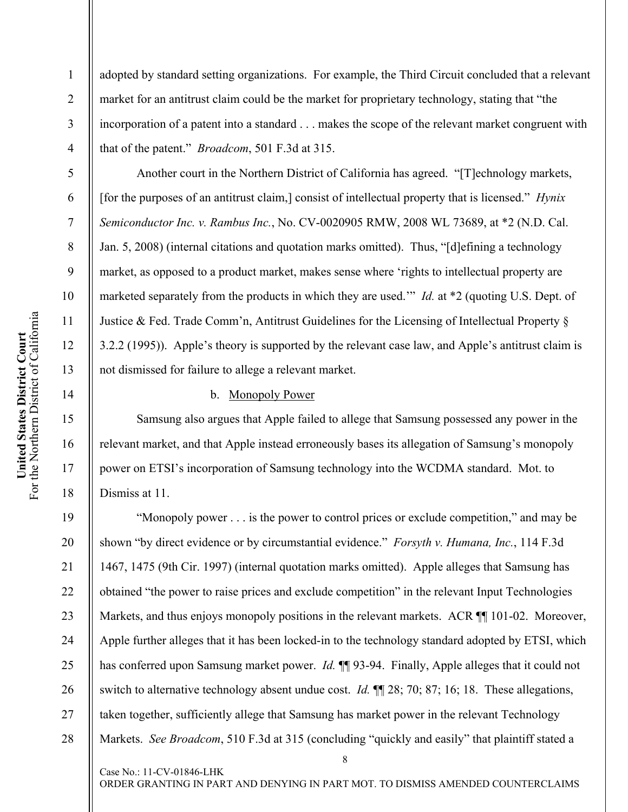adopted by standard setting organizations. For example, the Third Circuit concluded that a relevant market for an antitrust claim could be the market for proprietary technology, stating that "the incorporation of a patent into a standard . . . makes the scope of the relevant market congruent with that of the patent." *Broadcom*, 501 F.3d at 315.

Another court in the Northern District of California has agreed. "[T]echnology markets, [for the purposes of an antitrust claim,] consist of intellectual property that is licensed." *Hynix Semiconductor Inc. v. Rambus Inc.*, No. CV-0020905 RMW, 2008 WL 73689, at \*2 (N.D. Cal. Jan. 5, 2008) (internal citations and quotation marks omitted). Thus, "[d]efining a technology market, as opposed to a product market, makes sense where 'rights to intellectual property are marketed separately from the products in which they are used.'" *Id.* at \*2 (quoting U.S. Dept. of Justice & Fed. Trade Comm'n, Antitrust Guidelines for the Licensing of Intellectual Property § 3.2.2 (1995)). Apple's theory is supported by the relevant case law, and Apple's antitrust claim is not dismissed for failure to allege a relevant market.

## b. Monopoly Power

Case No.: 11-CV-01846-LHK

Samsung also argues that Apple failed to allege that Samsung possessed any power in the relevant market, and that Apple instead erroneously bases its allegation of Samsung's monopoly power on ETSI's incorporation of Samsung technology into the WCDMA standard. Mot. to Dismiss at 11.

8 "Monopoly power . . . is the power to control prices or exclude competition," and may be shown "by direct evidence or by circumstantial evidence." *Forsyth v. Humana, Inc.*, 114 F.3d 1467, 1475 (9th Cir. 1997) (internal quotation marks omitted). Apple alleges that Samsung has obtained "the power to raise prices and exclude competition" in the relevant Input Technologies Markets, and thus enjoys monopoly positions in the relevant markets. ACR ¶ [101-02. Moreover, Apple further alleges that it has been locked-in to the technology standard adopted by ETSI, which has conferred upon Samsung market power. *Id.* **[1]** 93-94. Finally, Apple alleges that it could not switch to alternative technology absent undue cost. *Id.* ¶¶ 28; 70; 87; 16; 18. These allegations, taken together, sufficiently allege that Samsung has market power in the relevant Technology Markets. *See Broadcom*, 510 F.3d at 315 (concluding "quickly and easily" that plaintiff stated a

1

2

3

4

5

6

7

8

9

10

11

12

13

14

15

16

17

18

19

20

21

22

23

24

25

26

27

28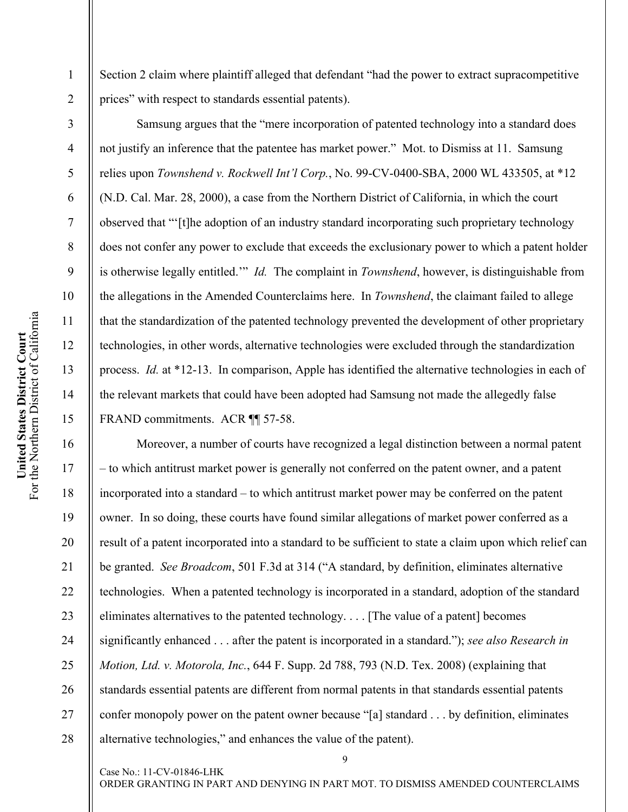Section 2 claim where plaintiff alleged that defendant "had the power to extract supracompetitive prices" with respect to standards essential patents).

Samsung argues that the "mere incorporation of patented technology into a standard does not justify an inference that the patentee has market power." Mot. to Dismiss at 11. Samsung relies upon *Townshend v. Rockwell Int'l Corp.*, No. 99-CV-0400-SBA, 2000 WL 433505, at \*12 (N.D. Cal. Mar. 28, 2000), a case from the Northern District of California, in which the court observed that "'[t]he adoption of an industry standard incorporating such proprietary technology does not confer any power to exclude that exceeds the exclusionary power to which a patent holder is otherwise legally entitled.'" *Id.* The complaint in *Townshend*, however, is distinguishable from the allegations in the Amended Counterclaims here. In *Townshend*, the claimant failed to allege that the standardization of the patented technology prevented the development of other proprietary technologies, in other words, alternative technologies were excluded through the standardization process. *Id.* at \*12-13. In comparison, Apple has identified the alternative technologies in each of the relevant markets that could have been adopted had Samsung not made the allegedly false FRAND commitments. ACR **[1]** 57-58.

Moreover, a number of courts have recognized a legal distinction between a normal patent – to which antitrust market power is generally not conferred on the patent owner, and a patent incorporated into a standard – to which antitrust market power may be conferred on the patent owner. In so doing, these courts have found similar allegations of market power conferred as a result of a patent incorporated into a standard to be sufficient to state a claim upon which relief can be granted. *See Broadcom*, 501 F.3d at 314 ("A standard, by definition, eliminates alternative technologies. When a patented technology is incorporated in a standard, adoption of the standard eliminates alternatives to the patented technology. . . . [The value of a patent] becomes significantly enhanced . . . after the patent is incorporated in a standard."); *see also Research in Motion, Ltd. v. Motorola, Inc.*, 644 F. Supp. 2d 788, 793 (N.D. Tex. 2008) (explaining that standards essential patents are different from normal patents in that standards essential patents confer monopoly power on the patent owner because "[a] standard . . . by definition, eliminates alternative technologies," and enhances the value of the patent).

1

2

3

4

5

6

7

8

9

10

11

12

13

14

15

16

17

18

19

20

21

22

23

24

25

26

27

28

ORDER GRANTING IN PART AND DENYING IN PART MOT. TO DISMISS AMENDED COUNTERCLAIMS

Case No.: 11-CV-01846-LHK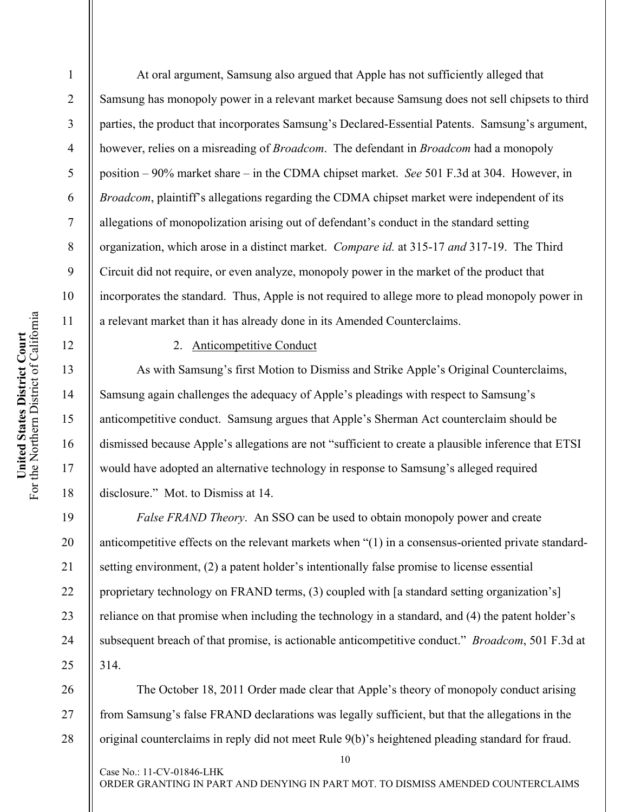2

3

4

5

6

7

8

9

18

19

20

21

22

23

24

25

At oral argument, Samsung also argued that Apple has not sufficiently alleged that Samsung has monopoly power in a relevant market because Samsung does not sell chipsets to third parties, the product that incorporates Samsung's Declared-Essential Patents. Samsung's argument, however, relies on a misreading of *Broadcom*. The defendant in *Broadcom* had a monopoly position – 90% market share – in the CDMA chipset market. *See* 501 F.3d at 304. However, in *Broadcom*, plaintiff's allegations regarding the CDMA chipset market were independent of its allegations of monopolization arising out of defendant's conduct in the standard setting organization, which arose in a distinct market. *Compare id.* at 315-17 *and* 317-19. The Third Circuit did not require, or even analyze, monopoly power in the market of the product that incorporates the standard. Thus, Apple is not required to allege more to plead monopoly power in a relevant market than it has already done in its Amended Counterclaims.

#### 2. Anticompetitive Conduct

Case No.: 11-CV-01846-LHK

As with Samsung's first Motion to Dismiss and Strike Apple's Original Counterclaims, Samsung again challenges the adequacy of Apple's pleadings with respect to Samsung's anticompetitive conduct. Samsung argues that Apple's Sherman Act counterclaim should be dismissed because Apple's allegations are not "sufficient to create a plausible inference that ETSI would have adopted an alternative technology in response to Samsung's alleged required disclosure." Mot. to Dismiss at 14.

*False FRAND Theory*. An SSO can be used to obtain monopoly power and create anticompetitive effects on the relevant markets when "(1) in a consensus-oriented private standardsetting environment, (2) a patent holder's intentionally false promise to license essential proprietary technology on FRAND terms, (3) coupled with [a standard setting organization's] reliance on that promise when including the technology in a standard, and (4) the patent holder's subsequent breach of that promise, is actionable anticompetitive conduct." *Broadcom*, 501 F.3d at 314.

26 27 28 The October 18, 2011 Order made clear that Apple's theory of monopoly conduct arising from Samsung's false FRAND declarations was legally sufficient, but that the allegations in the original counterclaims in reply did not meet Rule 9(b)'s heightened pleading standard for fraud.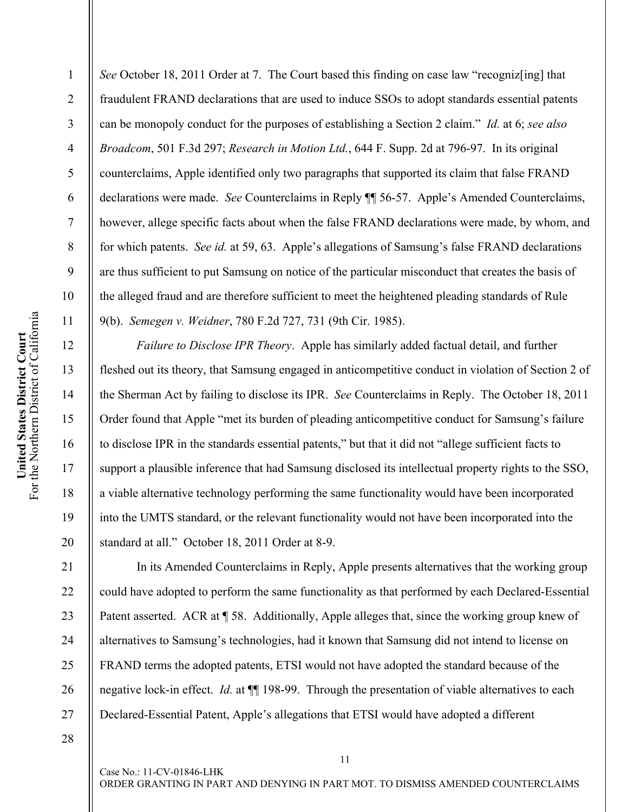2

3

4

5

6

7

8

9

10

11

12

13

14

15

16

17

18

19

20

21

22

23

24

25

26

27

*See* October 18, 2011 Order at 7. The Court based this finding on case law "recognized inglifthat" fraudulent FRAND declarations that are used to induce SSOs to adopt standards essential patents can be monopoly conduct for the purposes of establishing a Section 2 claim." *Id.* at 6; *see also Broadcom*, 501 F.3d 297; *Research in Motion Ltd.*, 644 F. Supp. 2d at 796-97. In its original counterclaims, Apple identified only two paragraphs that supported its claim that false FRAND declarations were made. *See* Counterclaims in Reply ¶¶ 56-57. Apple's Amended Counterclaims, however, allege specific facts about when the false FRAND declarations were made, by whom, and for which patents. *See id.* at 59, 63. Apple's allegations of Samsung's false FRAND declarations are thus sufficient to put Samsung on notice of the particular misconduct that creates the basis of the alleged fraud and are therefore sufficient to meet the heightened pleading standards of Rule 9(b). *Semegen v. Weidner*, 780 F.2d 727, 731 (9th Cir. 1985).

*Failure to Disclose IPR Theory*. Apple has similarly added factual detail, and further fleshed out its theory, that Samsung engaged in anticompetitive conduct in violation of Section 2 of the Sherman Act by failing to disclose its IPR. *See* Counterclaims in Reply. The October 18, 2011 Order found that Apple "met its burden of pleading anticompetitive conduct for Samsung's failure to disclose IPR in the standards essential patents," but that it did not "allege sufficient facts to support a plausible inference that had Samsung disclosed its intellectual property rights to the SSO, a viable alternative technology performing the same functionality would have been incorporated into the UMTS standard, or the relevant functionality would not have been incorporated into the standard at all." October 18, 2011 Order at 8-9.

In its Amended Counterclaims in Reply, Apple presents alternatives that the working group could have adopted to perform the same functionality as that performed by each Declared-Essential Patent asserted. ACR at  $\P$  58. Additionally, Apple alleges that, since the working group knew of alternatives to Samsung's technologies, had it known that Samsung did not intend to license on FRAND terms the adopted patents, ETSI would not have adopted the standard because of the negative lock-in effect. *Id.* at  $\P$  198-99. Through the presentation of viable alternatives to each Declared-Essential Patent, Apple's allegations that ETSI would have adopted a different

28

Case No.: 11-CV-01846-LHK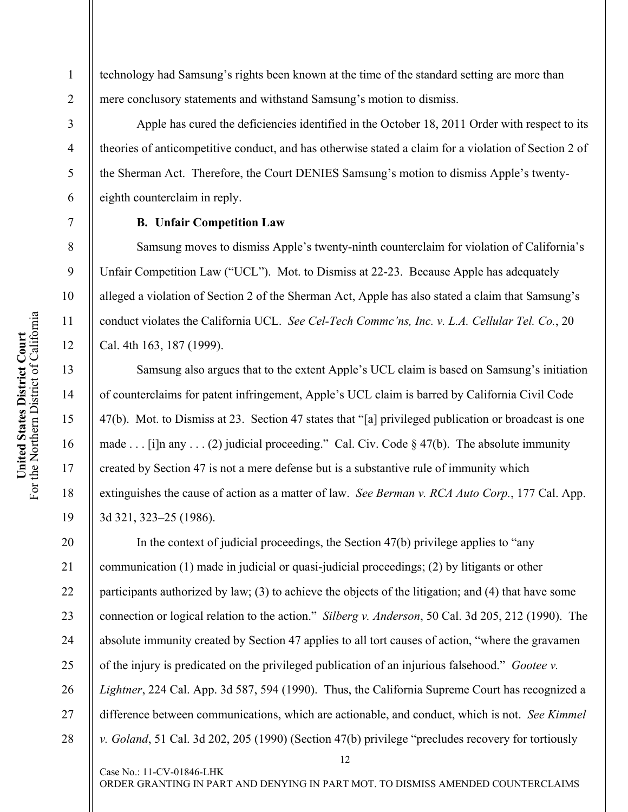2

3

4

5

6

7

8

9

10

11

12

13

14

15

16

17

18

19

technology had Samsung's rights been known at the time of the standard setting are more than mere conclusory statements and withstand Samsung's motion to dismiss.

Apple has cured the deficiencies identified in the October 18, 2011 Order with respect to its theories of anticompetitive conduct, and has otherwise stated a claim for a violation of Section 2 of the Sherman Act. Therefore, the Court DENIES Samsung's motion to dismiss Apple's twentyeighth counterclaim in reply.

#### **B. Unfair Competition Law**

Case No.: 11-CV-01846-LHK

Samsung moves to dismiss Apple's twenty-ninth counterclaim for violation of California's Unfair Competition Law ("UCL"). Mot. to Dismiss at 22-23. Because Apple has adequately alleged a violation of Section 2 of the Sherman Act, Apple has also stated a claim that Samsung's conduct violates the California UCL. *See Cel-Tech Commc'ns, Inc. v. L.A. Cellular Tel. Co.*, 20 Cal. 4th 163, 187 (1999).

Samsung also argues that to the extent Apple's UCL claim is based on Samsung's initiation of counterclaims for patent infringement, Apple's UCL claim is barred by California Civil Code 47(b). Mot. to Dismiss at 23. Section 47 states that "[a] privileged publication or broadcast is one made . . . [i]n any . . . (2) judicial proceeding." Cal. Civ. Code  $\S$  47(b). The absolute immunity created by Section 47 is not a mere defense but is a substantive rule of immunity which extinguishes the cause of action as a matter of law. *See Berman v. RCA Auto Corp.*, 177 Cal. App. 3d 321, 323–25 (1986).

12 20 21 22 23 24 25 26 27 28 In the context of judicial proceedings, the Section 47(b) privilege applies to "any communication (1) made in judicial or quasi-judicial proceedings; (2) by litigants or other participants authorized by law; (3) to achieve the objects of the litigation; and (4) that have some connection or logical relation to the action." *Silberg v. Anderson*, 50 Cal. 3d 205, 212 (1990). The absolute immunity created by Section 47 applies to all tort causes of action, "where the gravamen of the injury is predicated on the privileged publication of an injurious falsehood." *Gootee v. Lightner*, 224 Cal. App. 3d 587, 594 (1990). Thus, the California Supreme Court has recognized a difference between communications, which are actionable, and conduct, which is not. *See Kimmel v. Goland*, 51 Cal. 3d 202, 205 (1990) (Section 47(b) privilege "precludes recovery for tortiously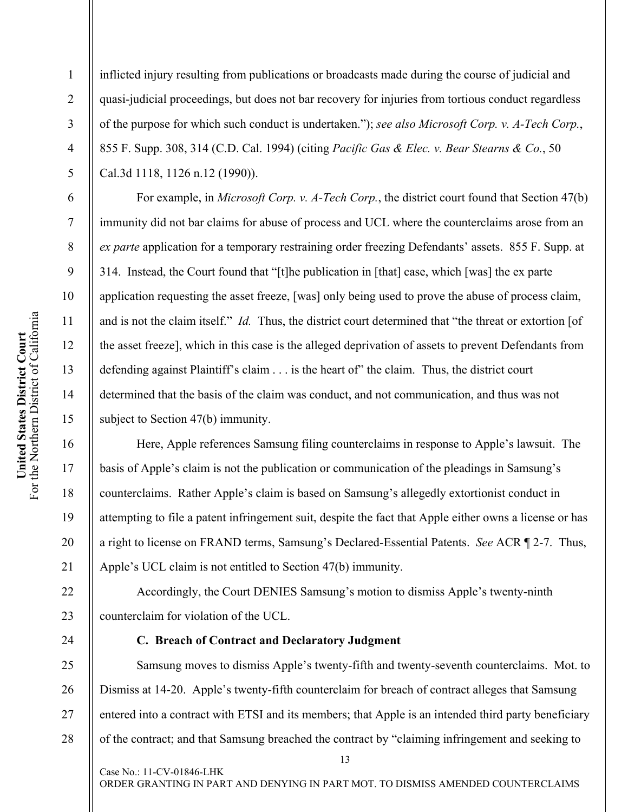2

3

4

5

6

7

8

9

10

11

12

13

14

15

16

17

18

19

20

21

22

23

24

26

27

28

inflicted injury resulting from publications or broadcasts made during the course of judicial and quasi-judicial proceedings, but does not bar recovery for injuries from tortious conduct regardless of the purpose for which such conduct is undertaken."); *see also Microsoft Corp. v. A-Tech Corp.*, 855 F. Supp. 308, 314 (C.D. Cal. 1994) (citing *Pacific Gas & Elec. v. Bear Stearns & Co.*, 50 Cal.3d 1118, 1126 n.12 (1990)).

For example, in *Microsoft Corp. v. A-Tech Corp.*, the district court found that Section 47(b) immunity did not bar claims for abuse of process and UCL where the counterclaims arose from an *ex parte* application for a temporary restraining order freezing Defendants' assets. 855 F. Supp. at 314. Instead, the Court found that "[t]he publication in [that] case, which [was] the ex parte application requesting the asset freeze, [was] only being used to prove the abuse of process claim, and is not the claim itself." *Id.* Thus, the district court determined that "the threat or extortion [of the asset freeze], which in this case is the alleged deprivation of assets to prevent Defendants from defending against Plaintiff's claim . . . is the heart of" the claim. Thus, the district court determined that the basis of the claim was conduct, and not communication, and thus was not subject to Section 47(b) immunity.

Here, Apple references Samsung filing counterclaims in response to Apple's lawsuit. The basis of Apple's claim is not the publication or communication of the pleadings in Samsung's counterclaims. Rather Apple's claim is based on Samsung's allegedly extortionist conduct in attempting to file a patent infringement suit, despite the fact that Apple either owns a license or has a right to license on FRAND terms, Samsung's Declared-Essential Patents. *See* ACR ¶ 2-7. Thus, Apple's UCL claim is not entitled to Section 47(b) immunity.

Accordingly, the Court DENIES Samsung's motion to dismiss Apple's twenty-ninth counterclaim for violation of the UCL.

## **C. Breach of Contract and Declaratory Judgment**

Case No.: 11-CV-01846-LHK

25 Samsung moves to dismiss Apple's twenty-fifth and twenty-seventh counterclaims. Mot. to Dismiss at 14-20. Apple's twenty-fifth counterclaim for breach of contract alleges that Samsung entered into a contract with ETSI and its members; that Apple is an intended third party beneficiary of the contract; and that Samsung breached the contract by "claiming infringement and seeking to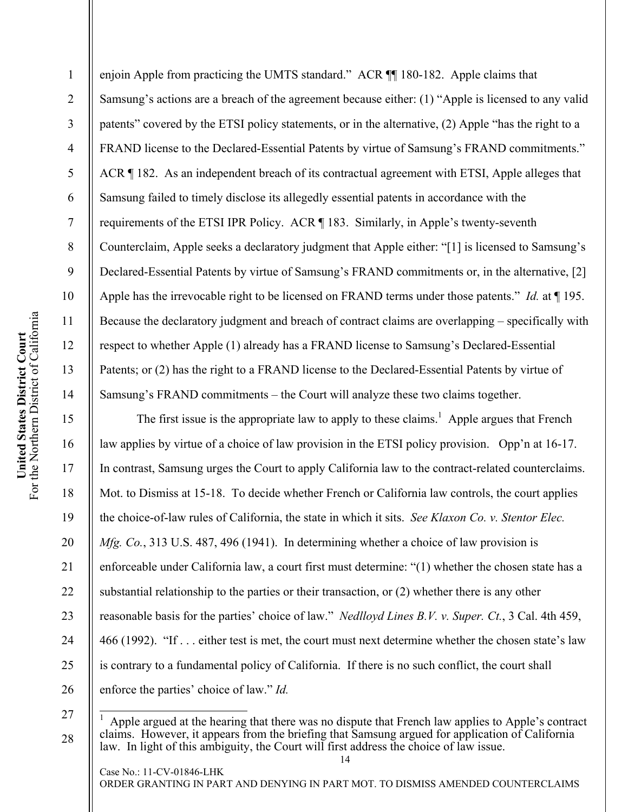enjoin Apple from practicing the UMTS standard." ACR ¶¶ 180-182. Apple claims that Samsung's actions are a breach of the agreement because either: (1) "Apple is licensed to any valid patents" covered by the ETSI policy statements, or in the alternative, (2) Apple "has the right to a FRAND license to the Declared-Essential Patents by virtue of Samsung's FRAND commitments." ACR ¶ 182. As an independent breach of its contractual agreement with ETSI, Apple alleges that Samsung failed to timely disclose its allegedly essential patents in accordance with the requirements of the ETSI IPR Policy. ACR ¶ 183. Similarly, in Apple's twenty-seventh Counterclaim, Apple seeks a declaratory judgment that Apple either: "[1] is licensed to Samsung's Declared-Essential Patents by virtue of Samsung's FRAND commitments or, in the alternative, [2] Apple has the irrevocable right to be licensed on FRAND terms under those patents." *Id.* at ¶ 195. Because the declaratory judgment and breach of contract claims are overlapping – specifically with respect to whether Apple (1) already has a FRAND license to Samsung's Declared-Essential Patents; or (2) has the right to a FRAND license to the Declared-Essential Patents by virtue of Samsung's FRAND commitments – the Court will analyze these two claims together.

The first issue is the appropriate law to apply to these claims.<sup>1</sup> Apple argues that French law applies by virtue of a choice of law provision in the ETSI policy provision. Opp'n at 16-17. In contrast, Samsung urges the Court to apply California law to the contract-related counterclaims. Mot. to Dismiss at 15-18. To decide whether French or California law controls, the court applies the choice-of-law rules of California, the state in which it sits. *See Klaxon Co. v. Stentor Elec. Mfg. Co.*, 313 U.S. 487, 496 (1941). In determining whether a choice of law provision is enforceable under California law, a court first must determine: "(1) whether the chosen state has a substantial relationship to the parties or their transaction, or (2) whether there is any other reasonable basis for the parties' choice of law." *Nedlloyd Lines B.V. v. Super. Ct.*, 3 Cal. 4th 459, 466 (1992). "If . . . either test is met, the court must next determine whether the chosen state's law is contrary to a fundamental policy of California. If there is no such conflict, the court shall enforce the parties' choice of law." *Id.*

 $\overline{\phantom{a}}$ 1 Apple argued at the hearing that there was no dispute that French law applies to Apple's contract claims. However, it appears from the briefing that Samsung argued for application of California law. In light of this ambiguity, the Court will first address the choice of law issue.

14

1

2

3

4

5

6

7

8

9

10

11

12

13

14

15

16

17

18

19

20

21

22

23

24

25

26

27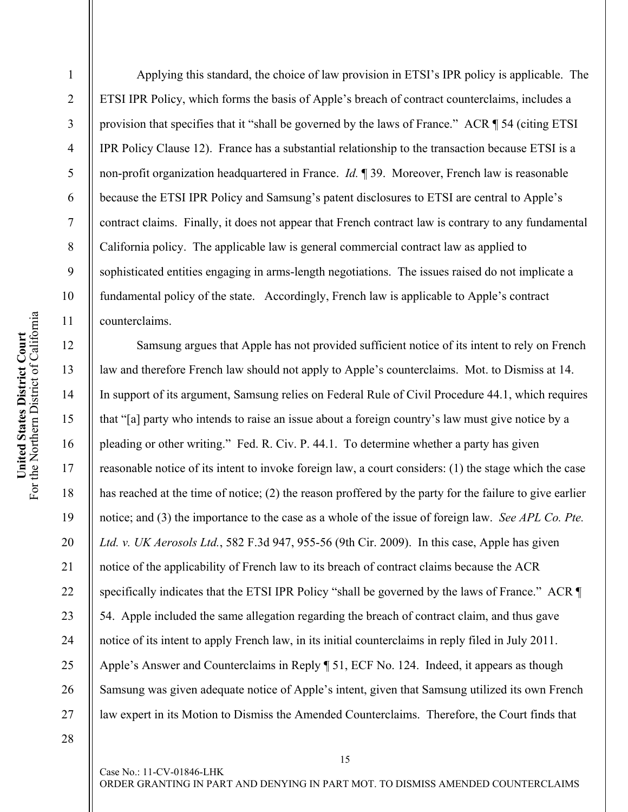2 3 4 5 6 7 8 9 10 11 12 13 ETSI IPR Policy, which forms the basis of Apple's breach of contract counterclaims, includes a provision that specifies that it "shall be governed by the laws of France." ACR ¶ 54 (citing ETSI IPR Policy Clause 12). France has a substantial relationship to the transaction because ETSI is a non-profit organization headquartered in France. *Id.* ¶ 39. Moreover, French law is reasonable because the ETSI IPR Policy and Samsung's patent disclosures to ETSI are central to Apple's contract claims. Finally, it does not appear that French contract law is contrary to any fundamental California policy. The applicable law is general commercial contract law as applied to sophisticated entities engaging in arms-length negotiations. The issues raised do not implicate a fundamental policy of the state. Accordingly, French law is applicable to Apple's contract counterclaims. Samsung argues that Apple has not provided sufficient notice of its intent to rely on French

law and therefore French law should not apply to Apple's counterclaims. Mot. to Dismiss at 14. In support of its argument, Samsung relies on Federal Rule of Civil Procedure 44.1, which requires that "[a] party who intends to raise an issue about a foreign country's law must give notice by a pleading or other writing." Fed. R. Civ. P. 44.1. To determine whether a party has given reasonable notice of its intent to invoke foreign law, a court considers: (1) the stage which the case has reached at the time of notice; (2) the reason proffered by the party for the failure to give earlier notice; and (3) the importance to the case as a whole of the issue of foreign law. *See APL Co. Pte. Ltd. v. UK Aerosols Ltd.*, 582 F.3d 947, 955-56 (9th Cir. 2009). In this case, Apple has given notice of the applicability of French law to its breach of contract claims because the ACR specifically indicates that the ETSI IPR Policy "shall be governed by the laws of France." ACR  $\P$ 54. Apple included the same allegation regarding the breach of contract claim, and thus gave notice of its intent to apply French law, in its initial counterclaims in reply filed in July 2011. Apple's Answer and Counterclaims in Reply ¶ 51, ECF No. 124. Indeed, it appears as though Samsung was given adequate notice of Apple's intent, given that Samsung utilized its own French law expert in its Motion to Dismiss the Amended Counterclaims. Therefore, the Court finds that

Applying this standard, the choice of law provision in ETSI's IPR policy is applicable. The

28

Case No.: 11-CV-01846-LHK

15

For the Northern District of California United States District Court<br>For the Northern District of California **United States District Court** 

14

15

16

17

18

19

20

21

22

23

24

25

26

27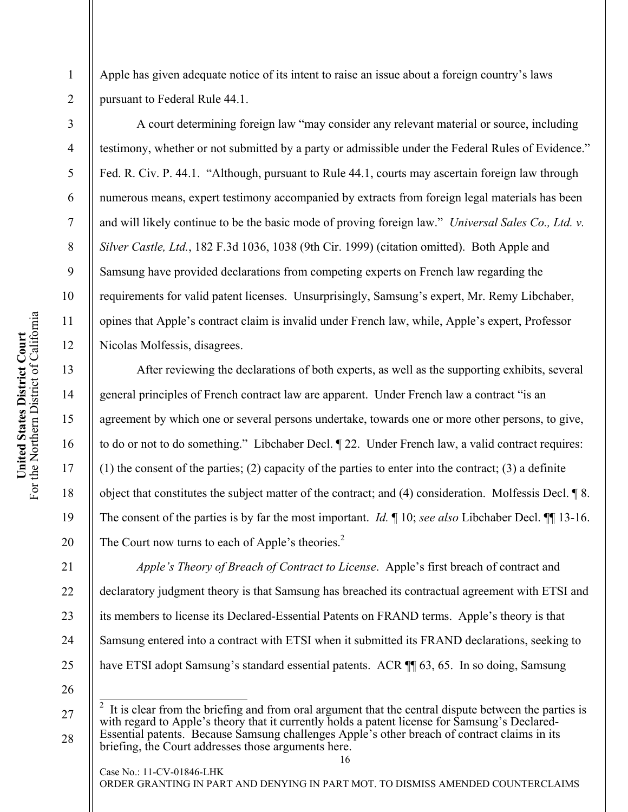For the Northern District of California United States District Court<br>For the Northern District of California **United States District Court** 

1

2

3

4

5

6

7

8

9

10

11

12

13

14

15

16

17

18

19

20

21

22

23

24

25

Apple has given adequate notice of its intent to raise an issue about a foreign country's laws pursuant to Federal Rule 44.1.

A court determining foreign law "may consider any relevant material or source, including testimony, whether or not submitted by a party or admissible under the Federal Rules of Evidence." Fed. R. Civ. P. 44.1. "Although, pursuant to Rule 44.1, courts may ascertain foreign law through numerous means, expert testimony accompanied by extracts from foreign legal materials has been and will likely continue to be the basic mode of proving foreign law." *Universal Sales Co., Ltd. v. Silver Castle, Ltd.*, 182 F.3d 1036, 1038 (9th Cir. 1999) (citation omitted). Both Apple and Samsung have provided declarations from competing experts on French law regarding the requirements for valid patent licenses. Unsurprisingly, Samsung's expert, Mr. Remy Libchaber, opines that Apple's contract claim is invalid under French law, while, Apple's expert, Professor Nicolas Molfessis, disagrees.

After reviewing the declarations of both experts, as well as the supporting exhibits, several general principles of French contract law are apparent. Under French law a contract "is an agreement by which one or several persons undertake, towards one or more other persons, to give, to do or not to do something." Libchaber Decl. ¶ 22. Under French law, a valid contract requires: (1) the consent of the parties; (2) capacity of the parties to enter into the contract; (3) a definite object that constitutes the subject matter of the contract; and (4) consideration. Molfessis Decl. ¶ 8. The consent of the parties is by far the most important. *Id.* ¶ 10; *see also* Libchaber Decl. ¶¶ 13-16. The Court now turns to each of Apple's theories.<sup>2</sup>

*Apple's Theory of Breach of Contract to License*. Apple's first breach of contract and declaratory judgment theory is that Samsung has breached its contractual agreement with ETSI and its members to license its Declared-Essential Patents on FRAND terms. Apple's theory is that Samsung entered into a contract with ETSI when it submitted its FRAND declarations, seeking to have ETSI adopt Samsung's standard essential patents. ACR  $\P$  63, 65. In so doing, Samsung

26

27

 $\overline{a}$ 

28

Case No.: 11-CV-01846-LHK

<sup>2</sup> It is clear from the briefing and from oral argument that the central dispute between the parties is with regard to Apple's theory that it currently holds a patent license for Samsung's Declared-Essential patents. Because Samsung challenges Apple's other breach of contract claims in its briefing, the Court addresses those arguments here.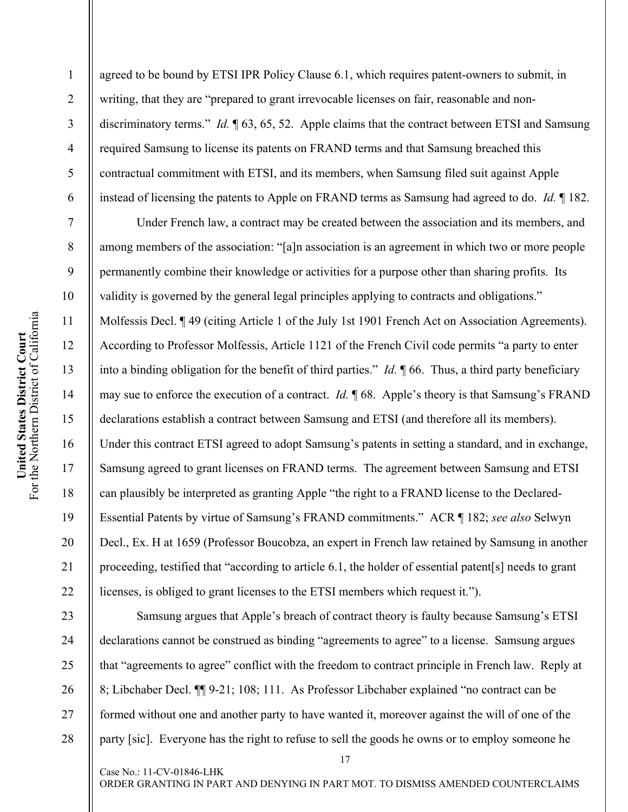2

3

4

5

6

7

8

9

10

11

12

13

14

15

16

17

18

19

20

21

22

23

24

25

26

27

28

agreed to be bound by ETSI IPR Policy Clause 6.1, which requires patent-owners to submit, in writing, that they are "prepared to grant irrevocable licenses on fair, reasonable and nondiscriminatory terms." *Id.* ¶ 63, 65, 52. Apple claims that the contract between ETSI and Samsung required Samsung to license its patents on FRAND terms and that Samsung breached this contractual commitment with ETSI, and its members, when Samsung filed suit against Apple instead of licensing the patents to Apple on FRAND terms as Samsung had agreed to do. *Id.* ¶ 182.

Under French law, a contract may be created between the association and its members, and among members of the association: "[a]n association is an agreement in which two or more people permanently combine their knowledge or activities for a purpose other than sharing profits. Its validity is governed by the general legal principles applying to contracts and obligations." Molfessis Decl. ¶ 49 (citing Article 1 of the July 1st 1901 French Act on Association Agreements). According to Professor Molfessis, Article 1121 of the French Civil code permits "a party to enter into a binding obligation for the benefit of third parties." *Id.* ¶ 66. Thus, a third party beneficiary may sue to enforce the execution of a contract. *Id.* ¶ 68. Apple's theory is that Samsung's FRAND declarations establish a contract between Samsung and ETSI (and therefore all its members). Under this contract ETSI agreed to adopt Samsung's patents in setting a standard, and in exchange, Samsung agreed to grant licenses on FRAND terms. The agreement between Samsung and ETSI can plausibly be interpreted as granting Apple "the right to a FRAND license to the Declared-Essential Patents by virtue of Samsung's FRAND commitments." ACR ¶ 182; *see also* Selwyn Decl., Ex. H at 1659 (Professor Boucobza, an expert in French law retained by Samsung in another proceeding, testified that "according to article 6.1, the holder of essential patent[s] needs to grant licenses, is obliged to grant licenses to the ETSI members which request it.").

Samsung argues that Apple's breach of contract theory is faulty because Samsung's ETSI declarations cannot be construed as binding "agreements to agree" to a license. Samsung argues that "agreements to agree" conflict with the freedom to contract principle in French law. Reply at 8; Libchaber Decl. ¶¶ 9-21; 108; 111. As Professor Libchaber explained "no contract can be formed without one and another party to have wanted it, moreover against the will of one of the party [sic]. Everyone has the right to refuse to sell the goods he owns or to employ someone he

17

ORDER GRANTING IN PART AND DENYING IN PART MOT. TO DISMISS AMENDED COUNTERCLAIMS

Case No.: 11-CV-01846-LHK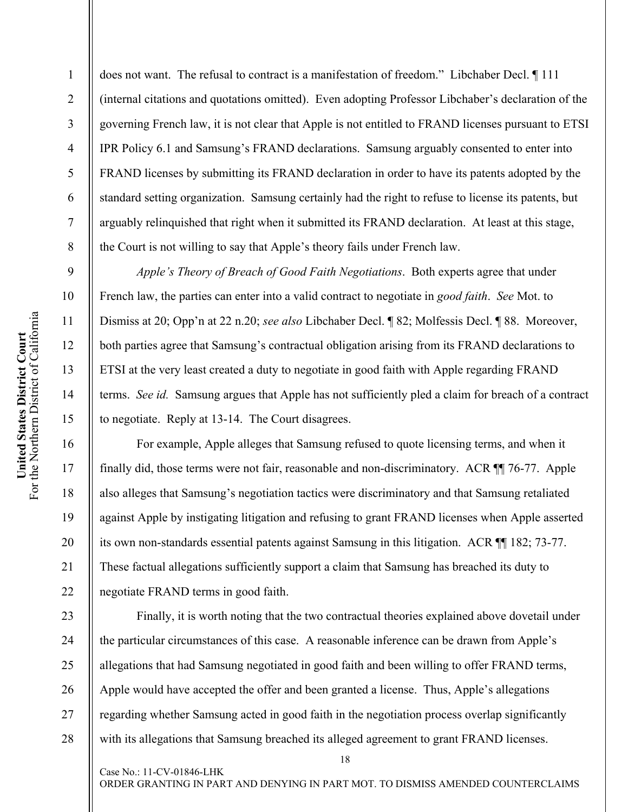does not want. The refusal to contract is a manifestation of freedom." Libchaber Decl. ¶ 111 (internal citations and quotations omitted). Even adopting Professor Libchaber's declaration of the governing French law, it is not clear that Apple is not entitled to FRAND licenses pursuant to ETSI IPR Policy 6.1 and Samsung's FRAND declarations. Samsung arguably consented to enter into FRAND licenses by submitting its FRAND declaration in order to have its patents adopted by the standard setting organization. Samsung certainly had the right to refuse to license its patents, but arguably relinquished that right when it submitted its FRAND declaration. At least at this stage, the Court is not willing to say that Apple's theory fails under French law.

*Apple's Theory of Breach of Good Faith Negotiations*. Both experts agree that under French law, the parties can enter into a valid contract to negotiate in *good faith*. *See* Mot. to Dismiss at 20; Opp'n at 22 n.20; *see also* Libchaber Decl. ¶ 82; Molfessis Decl. ¶ 88. Moreover, both parties agree that Samsung's contractual obligation arising from its FRAND declarations to ETSI at the very least created a duty to negotiate in good faith with Apple regarding FRAND terms. *See id.* Samsung argues that Apple has not sufficiently pled a claim for breach of a contract to negotiate. Reply at 13-14. The Court disagrees.

For example, Apple alleges that Samsung refused to quote licensing terms, and when it finally did, those terms were not fair, reasonable and non-discriminatory. ACR ¶¶ 76-77. Apple also alleges that Samsung's negotiation tactics were discriminatory and that Samsung retaliated against Apple by instigating litigation and refusing to grant FRAND licenses when Apple asserted its own non-standards essential patents against Samsung in this litigation. ACR ¶¶ 182; 73-77. These factual allegations sufficiently support a claim that Samsung has breached its duty to negotiate FRAND terms in good faith.

Finally, it is worth noting that the two contractual theories explained above dovetail under the particular circumstances of this case. A reasonable inference can be drawn from Apple's allegations that had Samsung negotiated in good faith and been willing to offer FRAND terms, Apple would have accepted the offer and been granted a license. Thus, Apple's allegations regarding whether Samsung acted in good faith in the negotiation process overlap significantly with its allegations that Samsung breached its alleged agreement to grant FRAND licenses.

1

2

3

4

5

6

7

8

9

10

11

12

13

14

15

16

17

18

19

20

21

22

23

24

25

26

27

28

Case No.: 11-CV-01846-LHK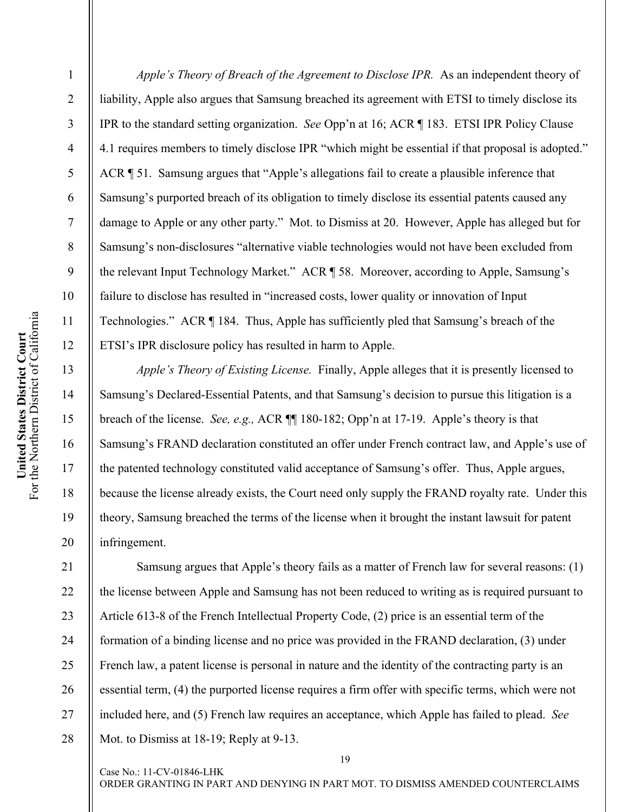2 3 4 5 6 7 8 9 10 11 12 13 14 15 liability, Apple also argues that Samsung breached its agreement with ETSI to timely disclose its IPR to the standard setting organization. *See* Opp'n at 16; ACR ¶ 183. ETSI IPR Policy Clause 4.1 requires members to timely disclose IPR "which might be essential if that proposal is adopted." ACR ¶ 51. Samsung argues that "Apple's allegations fail to create a plausible inference that Samsung's purported breach of its obligation to timely disclose its essential patents caused any damage to Apple or any other party." Mot. to Dismiss at 20. However, Apple has alleged but for Samsung's non-disclosures "alternative viable technologies would not have been excluded from the relevant Input Technology Market." ACR ¶ 58. Moreover, according to Apple, Samsung's failure to disclose has resulted in "increased costs, lower quality or innovation of Input Technologies." ACR ¶ 184. Thus, Apple has sufficiently pled that Samsung's breach of the ETSI's IPR disclosure policy has resulted in harm to Apple. *Apple's Theory of Existing License.* Finally, Apple alleges that it is presently licensed to

Samsung's Declared-Essential Patents, and that Samsung's decision to pursue this litigation is a breach of the license. *See, e.g.,* ACR ¶¶ 180-182; Opp'n at 17-19. Apple's theory is that Samsung's FRAND declaration constituted an offer under French contract law, and Apple's use of the patented technology constituted valid acceptance of Samsung's offer. Thus, Apple argues, because the license already exists, the Court need only supply the FRAND royalty rate. Under this theory, Samsung breached the terms of the license when it brought the instant lawsuit for patent infringement.

*Apple's Theory of Breach of the Agreement to Disclose IPR.* As an independent theory of

23 24 25 Samsung argues that Apple's theory fails as a matter of French law for several reasons: (1) the license between Apple and Samsung has not been reduced to writing as is required pursuant to Article 613-8 of the French Intellectual Property Code, (2) price is an essential term of the formation of a binding license and no price was provided in the FRAND declaration, (3) under French law, a patent license is personal in nature and the identity of the contracting party is an essential term, (4) the purported license requires a firm offer with specific terms, which were not included here, and (5) French law requires an acceptance, which Apple has failed to plead. *See* Mot. to Dismiss at 18-19; Reply at 9-13.

Case No.: 11-CV-01846-LHK

ORDER GRANTING IN PART AND DENYING IN PART MOT. TO DISMISS AMENDED COUNTERCLAIMS

19

16

17

18

19

20

21

22

26

27

28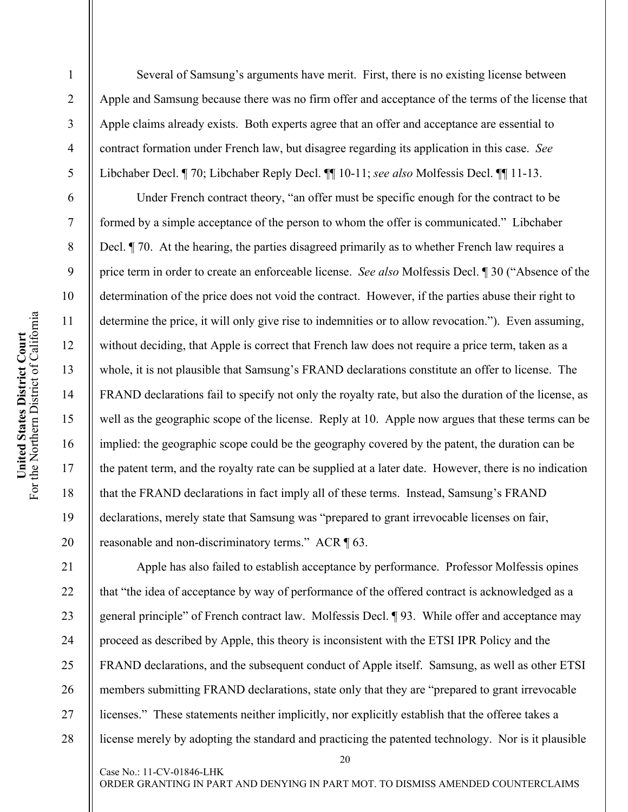2

3

4

5

6

7

8

9

10

11

12

13

14

15

16

17

18

19

20

21

22

23

24

25

26

27

28

Several of Samsung's arguments have merit. First, there is no existing license between Apple and Samsung because there was no firm offer and acceptance of the terms of the license that Apple claims already exists. Both experts agree that an offer and acceptance are essential to contract formation under French law, but disagree regarding its application in this case. *See* Libchaber Decl. ¶ 70; Libchaber Reply Decl. ¶¶ 10-11; *see also* Molfessis Decl. ¶¶ 11-13.

Under French contract theory, "an offer must be specific enough for the contract to be formed by a simple acceptance of the person to whom the offer is communicated." Libchaber Decl. ¶ 70. At the hearing, the parties disagreed primarily as to whether French law requires a price term in order to create an enforceable license. *See also* Molfessis Decl. ¶ 30 ("Absence of the determination of the price does not void the contract. However, if the parties abuse their right to determine the price, it will only give rise to indemnities or to allow revocation."). Even assuming, without deciding, that Apple is correct that French law does not require a price term, taken as a whole, it is not plausible that Samsung's FRAND declarations constitute an offer to license. The FRAND declarations fail to specify not only the royalty rate, but also the duration of the license, as well as the geographic scope of the license. Reply at 10. Apple now argues that these terms can be implied: the geographic scope could be the geography covered by the patent, the duration can be the patent term, and the royalty rate can be supplied at a later date. However, there is no indication that the FRAND declarations in fact imply all of these terms. Instead, Samsung's FRAND declarations, merely state that Samsung was "prepared to grant irrevocable licenses on fair, reasonable and non-discriminatory terms." ACR ¶ 63.

Apple has also failed to establish acceptance by performance. Professor Molfessis opines that "the idea of acceptance by way of performance of the offered contract is acknowledged as a general principle" of French contract law. Molfessis Decl. ¶ 93. While offer and acceptance may proceed as described by Apple, this theory is inconsistent with the ETSI IPR Policy and the FRAND declarations, and the subsequent conduct of Apple itself. Samsung, as well as other ETSI members submitting FRAND declarations, state only that they are "prepared to grant irrevocable licenses." These statements neither implicitly, nor explicitly establish that the offeree takes a license merely by adopting the standard and practicing the patented technology. Nor is it plausible

ORDER GRANTING IN PART AND DENYING IN PART MOT. TO DISMISS AMENDED COUNTERCLAIMS

Case No.: 11-CV-01846-LHK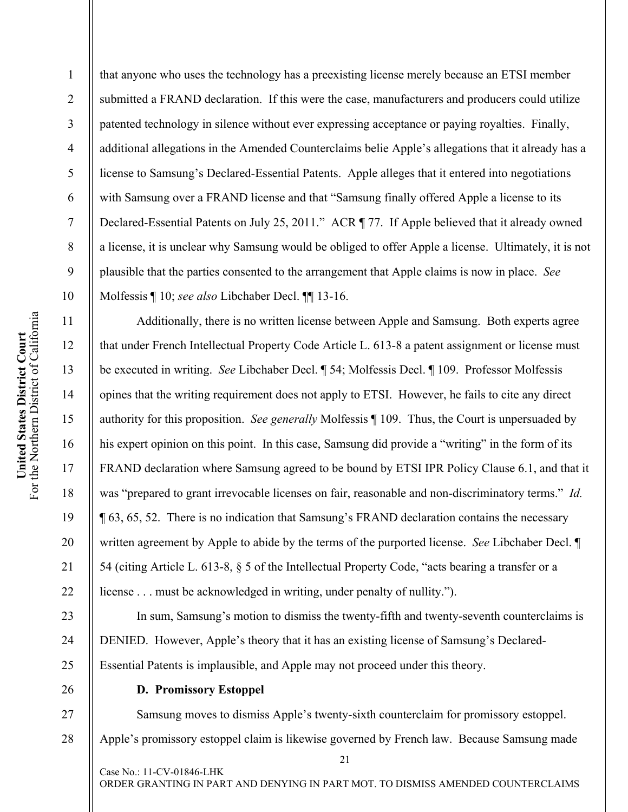that anyone who uses the technology has a preexisting license merely because an ETSI member submitted a FRAND declaration. If this were the case, manufacturers and producers could utilize patented technology in silence without ever expressing acceptance or paying royalties. Finally, additional allegations in the Amended Counterclaims belie Apple's allegations that it already has a license to Samsung's Declared-Essential Patents. Apple alleges that it entered into negotiations with Samsung over a FRAND license and that "Samsung finally offered Apple a license to its Declared-Essential Patents on July 25, 2011." ACR ¶ 77. If Apple believed that it already owned a license, it is unclear why Samsung would be obliged to offer Apple a license. Ultimately, it is not plausible that the parties consented to the arrangement that Apple claims is now in place. *See*  Molfessis ¶ 10; *see also* Libchaber Decl. ¶¶ 13-16.

Additionally, there is no written license between Apple and Samsung. Both experts agree that under French Intellectual Property Code Article L. 613-8 a patent assignment or license must be executed in writing. *See* Libchaber Decl. ¶ 54; Molfessis Decl. ¶ 109. Professor Molfessis opines that the writing requirement does not apply to ETSI. However, he fails to cite any direct authority for this proposition. *See generally* Molfessis ¶ 109. Thus, the Court is unpersuaded by his expert opinion on this point. In this case, Samsung did provide a "writing" in the form of its FRAND declaration where Samsung agreed to be bound by ETSI IPR Policy Clause 6.1, and that it was "prepared to grant irrevocable licenses on fair, reasonable and non-discriminatory terms." *Id.* ¶ 63, 65, 52. There is no indication that Samsung's FRAND declaration contains the necessary written agreement by Apple to abide by the terms of the purported license. *See* Libchaber Decl. ¶ 54 (citing Article L. 613-8, § 5 of the Intellectual Property Code, "acts bearing a transfer or a license . . . must be acknowledged in writing, under penalty of nullity.").

In sum, Samsung's motion to dismiss the twenty-fifth and twenty-seventh counterclaims is DENIED. However, Apple's theory that it has an existing license of Samsung's Declared-Essential Patents is implausible, and Apple may not proceed under this theory.

**D. Promissory Estoppel** 

Case No.: 11-CV-01846-LHK

21 Samsung moves to dismiss Apple's twenty-sixth counterclaim for promissory estoppel. Apple's promissory estoppel claim is likewise governed by French law. Because Samsung made

1

2

3

4

5

6

7

8

9

10

11

12

13

14

15

16

17

18

19

20

21

22

23

24

25

26

27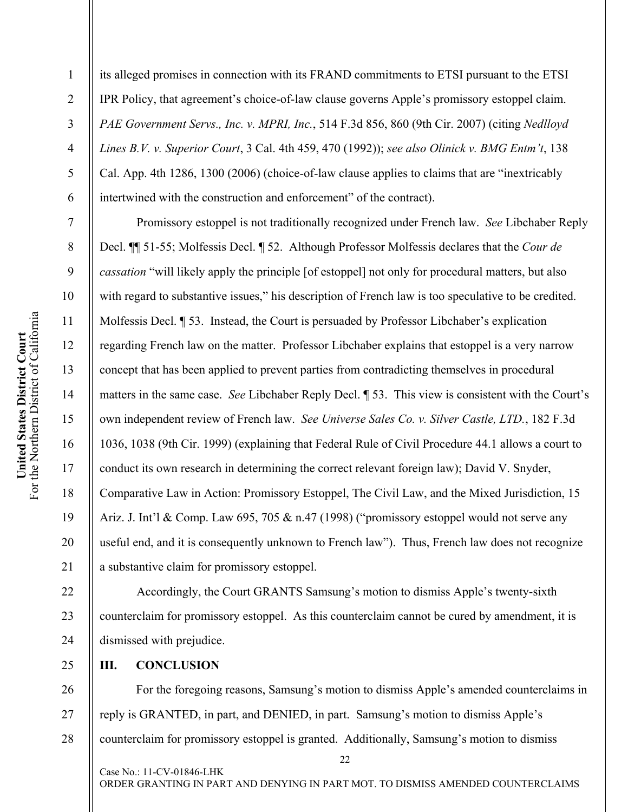its alleged promises in connection with its FRAND commitments to ETSI pursuant to the ETSI IPR Policy, that agreement's choice-of-law clause governs Apple's promissory estoppel claim. *PAE Government Servs., Inc. v. MPRI, Inc.*, 514 F.3d 856, 860 (9th Cir. 2007) (citing *Nedlloyd Lines B.V. v. Superior Court*, 3 Cal. 4th 459, 470 (1992)); *see also Olinick v. BMG Entm't*, 138 Cal. App. 4th 1286, 1300 (2006) (choice-of-law clause applies to claims that are "inextricably intertwined with the construction and enforcement" of the contract).

Promissory estoppel is not traditionally recognized under French law. *See* Libchaber Reply Decl. ¶¶ 51-55; Molfessis Decl. ¶ 52. Although Professor Molfessis declares that the *Cour de cassation* "will likely apply the principle [of estoppel] not only for procedural matters, but also with regard to substantive issues," his description of French law is too speculative to be credited. Molfessis Decl. ¶ 53. Instead, the Court is persuaded by Professor Libchaber's explication regarding French law on the matter. Professor Libchaber explains that estoppel is a very narrow concept that has been applied to prevent parties from contradicting themselves in procedural matters in the same case. *See* Libchaber Reply Decl. ¶ 53. This view is consistent with the Court's own independent review of French law. *See Universe Sales Co. v. Silver Castle, LTD.*, 182 F.3d 1036, 1038 (9th Cir. 1999) (explaining that Federal Rule of Civil Procedure 44.1 allows a court to conduct its own research in determining the correct relevant foreign law); David V. Snyder, Comparative Law in Action: Promissory Estoppel, The Civil Law, and the Mixed Jurisdiction, 15 Ariz. J. Int'l & Comp. Law 695, 705 & n.47 (1998) ("promissory estoppel would not serve any useful end, and it is consequently unknown to French law"). Thus, French law does not recognize a substantive claim for promissory estoppel.

Accordingly, the Court GRANTS Samsung's motion to dismiss Apple's twenty-sixth counterclaim for promissory estoppel. As this counterclaim cannot be cured by amendment, it is dismissed with prejudice.

**III. CONCLUSION** 

26 27 28 For the foregoing reasons, Samsung's motion to dismiss Apple's amended counterclaims in reply is GRANTED, in part, and DENIED, in part. Samsung's motion to dismiss Apple's counterclaim for promissory estoppel is granted. Additionally, Samsung's motion to dismiss

1

2

3

4

5

6

7

8

9

10

11

12

13

14

15

16

17

18

19

20

21

22

23

24

25